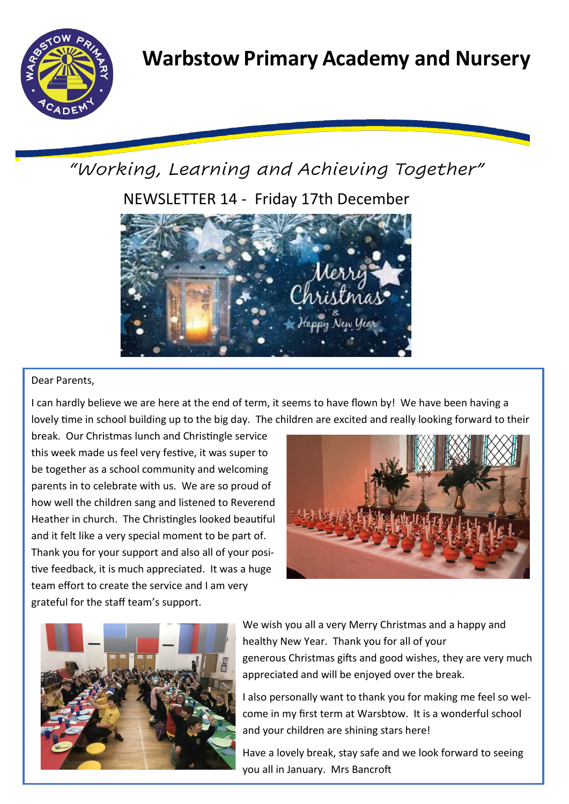

*"Working, Learning and Achieving Together"*

NEWSLETTER 14 - Friday 17th December



# Dear Parents,

I can hardly believe we are here at the end of term, it seems to have flown by! We have been having a lovely time in school building up to the big day. The children are excited and really looking forward to their

break. Our Christmas lunch and Christingle service this week made us feel very festive, it was super to be together as a school community and welcoming parents in to celebrate with us. We are so proud of how well the children sang and listened to Reverend Heather in church. The Christingles looked beautiful and it felt like a very special moment to be part of. Thank you for your support and also all of your positive feedback, it is much appreciated. It was a huge team effort to create the service and I am very grateful for the staff team's support.





We wish you all a very Merry Christmas and a happy and healthy New Year. Thank you for all of your generous Christmas gifts and good wishes, they are very much appreciated and will be enjoyed over the break.

I also personally want to thank you for making me feel so welcome in my first term at Warsbtow. It is a wonderful school and your children are shining stars here!

Have a lovely break, stay safe and we look forward to seeing you all in January. Mrs Bancroft